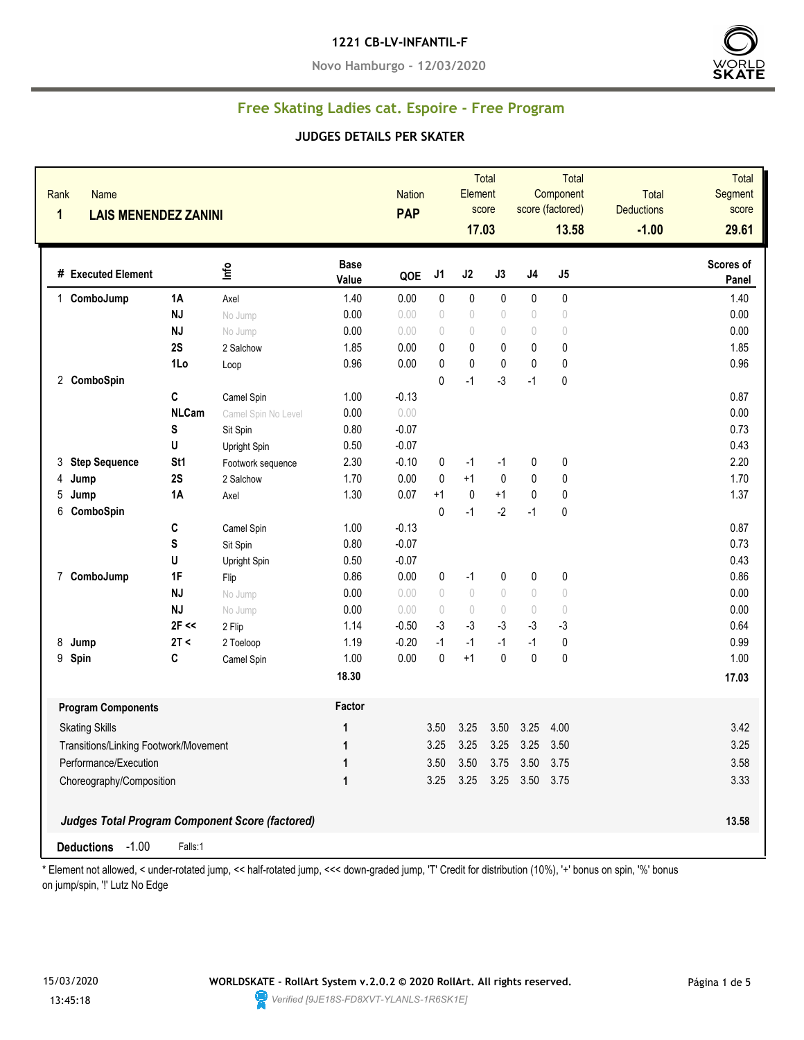#### **1221 CB-LV-INFANTIL-F**

**Novo Hamburgo - 12/03/2020**



# **Free Skating Ladies cat. Espoire - Free Program**

#### **JUDGES DETAILS PER SKATER**

| Name<br>Rank<br>1<br><b>LAIS MENENDEZ ZANINI</b> |                 |                                                        |                      | <b>Nation</b><br><b>PAP</b> |                                  | Element<br>17.03                 | Total<br>score |                                  | Total<br>Component<br>score (factored)<br>13.58 | <b>Total</b><br><b>Deductions</b><br>$-1.00$ | Total<br>Segment<br>score<br>29.61 |
|--------------------------------------------------|-----------------|--------------------------------------------------------|----------------------|-----------------------------|----------------------------------|----------------------------------|----------------|----------------------------------|-------------------------------------------------|----------------------------------------------|------------------------------------|
| # Executed Element                               |                 | lnfo                                                   | <b>Base</b><br>Value | QOE                         | J1                               | J2                               | J3             | $\sf J4$                         | J5                                              |                                              | <b>Scores of</b><br>Panel          |
| ComboJump<br>1                                   | 1A              | Axel                                                   | 1.40                 | 0.00                        | $\pmb{0}$                        | 0                                | 0              | 0                                | $\pmb{0}$                                       |                                              | 1.40                               |
|                                                  | <b>NJ</b>       | No Jump                                                | 0.00                 | 0.00                        | $\theta$                         | $\begin{array}{c} \n\end{array}$ | 0              | $\begin{array}{c} \n\end{array}$ | $\bigcirc$                                      |                                              | 0.00                               |
|                                                  | <b>NJ</b>       | No Jump                                                | 0.00                 | 0.00                        | 0                                | $\begin{array}{c} \n\end{array}$ | 0              | $\theta$                         | $\bigcirc$                                      |                                              | 0.00                               |
|                                                  | 2S              | 2 Salchow                                              | 1.85                 | 0.00                        | 0                                | 0                                | 0              | 0                                | $\pmb{0}$                                       |                                              | 1.85                               |
|                                                  | 1Lo             | Loop                                                   | 0.96                 | 0.00                        | $\pmb{0}$                        | $\pmb{0}$                        | $\pmb{0}$      | $\mathbf{0}$                     | 0                                               |                                              | 0.96                               |
| 2 ComboSpin                                      |                 |                                                        |                      |                             | 0                                | $-1$                             | $-3$           | $-1$                             | 0                                               |                                              |                                    |
|                                                  | C               | Camel Spin                                             | 1.00                 | $-0.13$                     |                                  |                                  |                |                                  |                                                 |                                              | 0.87                               |
|                                                  | <b>NLCam</b>    | Camel Spin No Level                                    | 0.00                 | 0.00                        |                                  |                                  |                |                                  |                                                 |                                              | 0.00                               |
|                                                  | S               | Sit Spin                                               | 0.80                 | $-0.07$                     |                                  |                                  |                |                                  |                                                 |                                              | 0.73                               |
|                                                  | U               | Upright Spin                                           | 0.50                 | $-0.07$                     |                                  |                                  |                |                                  |                                                 |                                              | 0.43                               |
| <b>Step Sequence</b><br>3                        | St <sub>1</sub> | Footwork sequence                                      | 2.30                 | $-0.10$                     | 0                                | $-1$                             | $-1$           | 0                                | $\pmb{0}$                                       |                                              | 2.20                               |
| 4<br>Jump                                        | 2S              | 2 Salchow                                              | 1.70                 | 0.00                        | $\pmb{0}$                        | $+1$                             | $\pmb{0}$      | $\mathbf 0$                      | $\pmb{0}$                                       |                                              | 1.70                               |
| 5<br>Jump                                        | <b>1A</b>       | Axel                                                   | 1.30                 | 0.07                        | $+1$                             | $\pmb{0}$                        | $+1$           | $\pmb{0}$                        | $\pmb{0}$                                       |                                              | 1.37                               |
| 6<br>ComboSpin                                   |                 |                                                        |                      |                             | $\pmb{0}$                        | $-1$                             | $-2$           | $-1$                             | 0                                               |                                              |                                    |
|                                                  | C               | Camel Spin                                             | 1.00                 | $-0.13$                     |                                  |                                  |                |                                  |                                                 |                                              | 0.87                               |
|                                                  | S               | Sit Spin                                               | 0.80                 | $-0.07$                     |                                  |                                  |                |                                  |                                                 |                                              | 0.73                               |
|                                                  | U               | Upright Spin                                           | 0.50                 | $-0.07$                     |                                  |                                  |                |                                  |                                                 |                                              | 0.43                               |
| 7 ComboJump                                      | 1F              | Flip                                                   | 0.86                 | 0.00                        | 0                                | $-1$                             | 0              | 0                                | $\pmb{0}$                                       |                                              | 0.86                               |
|                                                  | <b>NJ</b>       | No Jump                                                | 0.00                 | 0.00                        | $\sqrt{ }$                       | $\bigcirc$                       | $\bigcirc$     | $\begin{array}{c} \n\end{array}$ | $\bigcirc$                                      |                                              | 0.00                               |
|                                                  | <b>NJ</b>       | No Jump                                                | 0.00                 | 0.00                        | $\begin{array}{c} \n\end{array}$ | $\theta$                         | 0              | $\begin{array}{c} \n\end{array}$ | $\bigcirc$                                      |                                              | 0.00                               |
|                                                  | $2F \ll$        | 2 Flip                                                 | 1.14                 | $-0.50$                     | $-3$                             | $-3$                             | $-3$           | $-3$                             | $-3$                                            |                                              | 0.64                               |
| 8<br>Jump                                        | 2T <            | 2 Toeloop                                              | 1.19                 | $-0.20$                     | $-1$                             | $-1$                             | $-1$           | $-1$                             | 0                                               |                                              | 0.99                               |
| Spin<br>9                                        | C               | Camel Spin                                             | 1.00                 | 0.00                        | $\mathbf 0$                      | $+1$                             | $\mathbf{0}$   | $\mathbf{0}$                     | $\mathbf 0$                                     |                                              | 1.00                               |
|                                                  |                 |                                                        | 18.30                |                             |                                  |                                  |                |                                  |                                                 |                                              | 17.03                              |
| <b>Program Components</b>                        |                 |                                                        | Factor               |                             |                                  |                                  |                |                                  |                                                 |                                              |                                    |
| <b>Skating Skills</b>                            |                 |                                                        | 1                    |                             | 3.50                             | 3.25                             | 3.50           | 3.25                             | 4.00                                            |                                              | 3.42                               |
| Transitions/Linking Footwork/Movement            |                 | 1                                                      |                      | 3.25                        | 3.25                             | 3.25                             | 3.25           | 3.50                             |                                                 | 3.25                                         |                                    |
| Performance/Execution                            |                 |                                                        | 1                    |                             | 3.50                             | 3.50                             | 3.75           | 3.50 3.75                        |                                                 |                                              | 3.58                               |
| Choreography/Composition                         |                 |                                                        | 1                    |                             | 3.25                             | 3.25                             |                | 3.25 3.50 3.75                   |                                                 |                                              | 3.33                               |
|                                                  |                 |                                                        |                      |                             |                                  |                                  |                |                                  |                                                 |                                              |                                    |
|                                                  |                 | <b>Judges Total Program Component Score (factored)</b> |                      |                             |                                  |                                  |                |                                  |                                                 |                                              | 13.58                              |
| Deductions -1.00                                 | Falls:1         |                                                        |                      |                             |                                  |                                  |                |                                  |                                                 |                                              |                                    |

\* Element not allowed, < under-rotated jump, << half-rotated jump, <<< down-graded jump, 'T' Credit for distribution (10%), '+' bonus on spin, '%' bonus on jump/spin, '!' Lutz No Edge

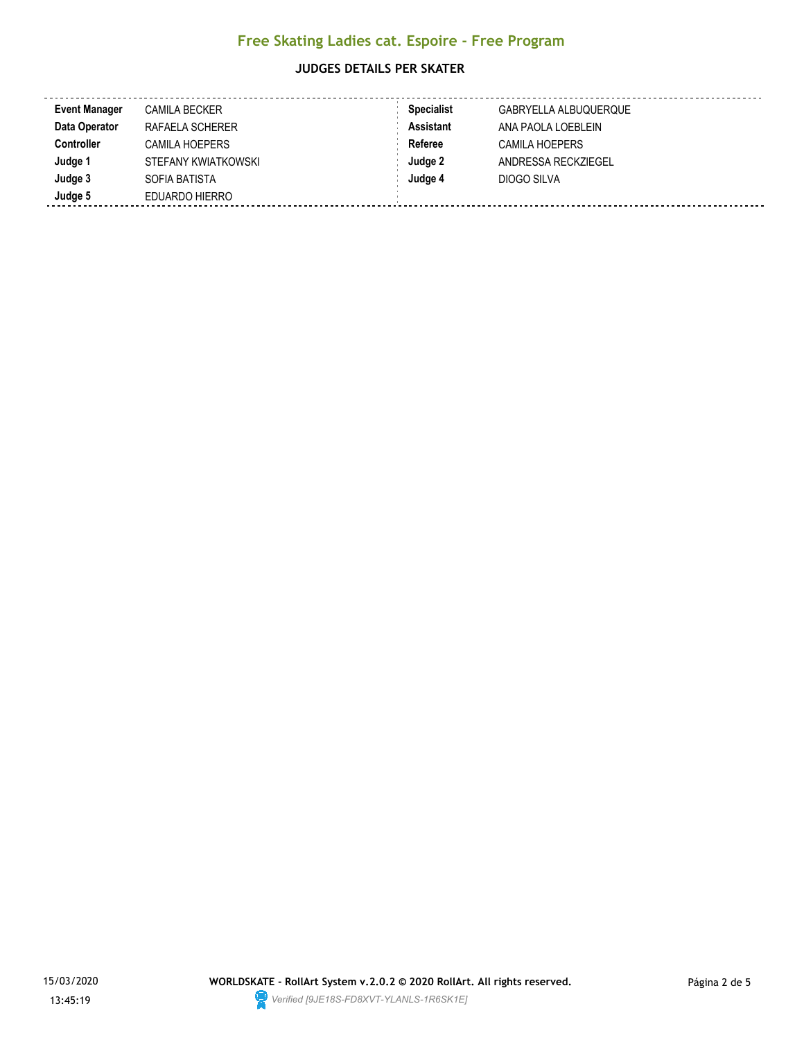#### **JUDGES DETAILS PER SKATER**

| <b>Event Manager</b> | <b>CAMILA BECKER</b> | <b>Specialist</b> | GABRYELLA ALBUQUERQUE |
|----------------------|----------------------|-------------------|-----------------------|
| Data Operator        | RAFAELA SCHERER      | <b>Assistant</b>  | ANA PAOLA LOEBLEIN    |
| <b>Controller</b>    | CAMILA HOEPERS       | Referee           | <b>CAMILA HOEPERS</b> |
| Judge 1              | STEFANY KWIATKOWSKI  | Judge 2           | ANDRESSA RECKZIEGEL   |
| Judge 3              | SOFIA BATISTA        | Judge 4           | DIOGO SILVA           |
| Judge 5              | EDUARDO HIERRO       |                   |                       |

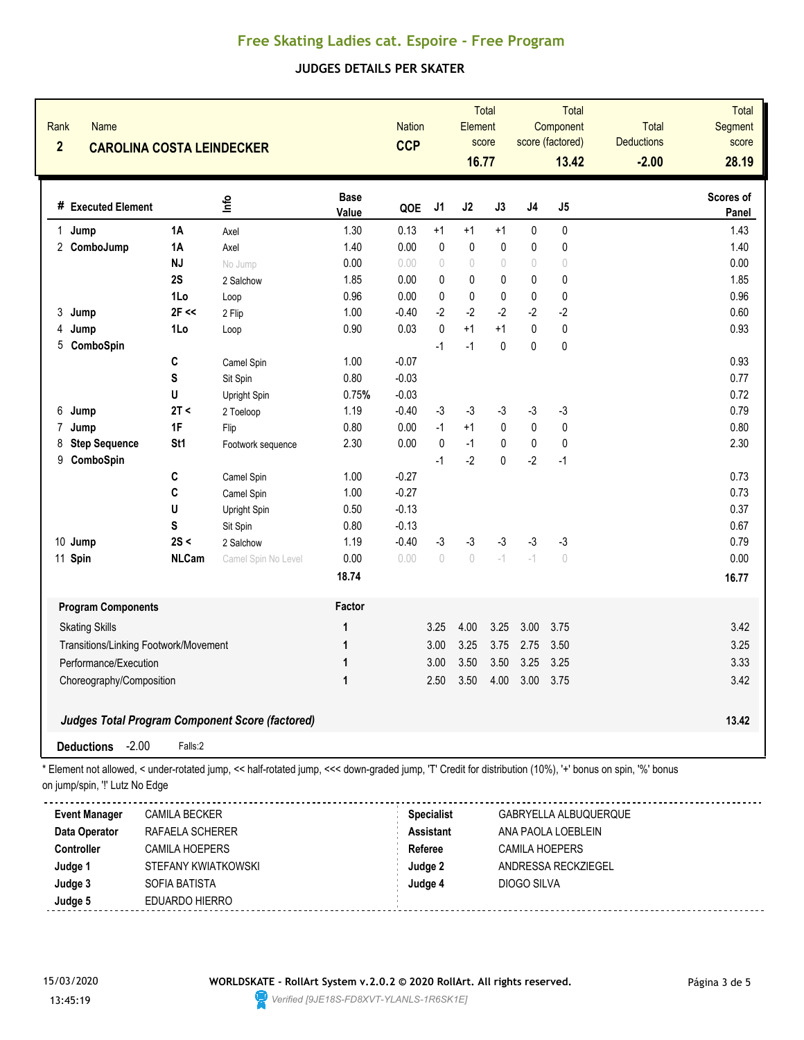# **Free Skating Ladies cat. Espoire - Free Program**

## **JUDGES DETAILS PER SKATER**

| Rank<br><b>Name</b><br>$\overline{2}$<br><b>CAROLINA COSTA LEINDECKER</b> |                 |                                                        | <b>Nation</b><br><b>CCP</b> |         | Total<br>Element<br>score<br>16.77 |                                  | Total<br>Component<br>score (factored)<br>13.42 |           | <b>Total</b><br><b>Deductions</b><br>$-2.00$ | <b>Total</b><br><b>Segment</b><br>score<br>28.19 |                    |
|---------------------------------------------------------------------------|-----------------|--------------------------------------------------------|-----------------------------|---------|------------------------------------|----------------------------------|-------------------------------------------------|-----------|----------------------------------------------|--------------------------------------------------|--------------------|
| # Executed Element                                                        |                 | ۴ů                                                     | <b>Base</b><br>Value        | QOE     | J1                                 | J2                               | J3                                              | J4        | J5                                           |                                                  | Scores of<br>Panel |
| 1 Jump                                                                    | <b>1A</b>       | Axel                                                   | 1.30                        | 0.13    | $+1$                               | $+1$                             | $+1$                                            | 0         | 0                                            |                                                  | 1.43               |
| 2 ComboJump                                                               | 1A              | Axel                                                   | 1.40                        | 0.00    | $\mathbf 0$                        | $\mathbf 0$                      | $\mathbf{0}$                                    | 0         | 0                                            |                                                  | 1.40               |
|                                                                           | <b>NJ</b>       | No Jump                                                | 0.00                        | 0.00    | 0                                  | $\begin{array}{c} \n\end{array}$ | $\sqrt{ }$                                      | 0         | $\begin{array}{c} \n\end{array}$             |                                                  | 0.00               |
|                                                                           | 2S              | 2 Salchow                                              | 1.85                        | 0.00    | 0                                  | 0                                | 0                                               | 0         | 0                                            |                                                  | 1.85               |
|                                                                           | 1Lo             | Loop                                                   | 0.96                        | 0.00    | 0                                  | $\pmb{0}$                        | $\pmb{0}$                                       | $\pmb{0}$ | $\pmb{0}$                                    |                                                  | 0.96               |
| 3<br>Jump                                                                 | $2F \ll$        | 2 Flip                                                 | 1.00                        | $-0.40$ | $-2$                               | $-2$                             | $-2$                                            | $-2$      | $-2$                                         |                                                  | 0.60               |
| Jump<br>4                                                                 | 1Lo             | Loop                                                   | 0.90                        | 0.03    | $\mathbf 0$                        | $+1$                             | $+1$                                            | 0         | $\pmb{0}$                                    |                                                  | 0.93               |
| 5 ComboSpin                                                               |                 |                                                        |                             |         | $-1$                               | $-1$                             | $\pmb{0}$                                       | 0         | $\pmb{0}$                                    |                                                  |                    |
|                                                                           | $\mathbf{C}$    | Camel Spin                                             | 1.00                        | $-0.07$ |                                    |                                  |                                                 |           |                                              |                                                  | 0.93               |
|                                                                           | S               | Sit Spin                                               | 0.80                        | $-0.03$ |                                    |                                  |                                                 |           |                                              |                                                  | 0.77               |
|                                                                           | U               | Upright Spin                                           | 0.75%                       | $-0.03$ |                                    |                                  |                                                 |           |                                              |                                                  | 0.72               |
| Jump<br>6                                                                 | 2T <            | 2 Toeloop                                              | 1.19                        | $-0.40$ | -3                                 | $-3$                             | $-3$                                            | $-3$      | $-3$                                         |                                                  | 0.79               |
| $\overline{7}$<br>Jump                                                    | 1F              | Flip                                                   | 0.80                        | 0.00    | $-1$                               | $+1$                             | $\pmb{0}$                                       | $\pmb{0}$ | $\pmb{0}$                                    |                                                  | 0.80               |
| <b>Step Sequence</b><br>8                                                 | St <sub>1</sub> | Footwork sequence                                      | 2.30                        | 0.00    | 0                                  | $-1$                             | $\pmb{0}$                                       | $\pmb{0}$ | $\pmb{0}$                                    |                                                  | 2.30               |
| 9 ComboSpin                                                               |                 |                                                        |                             |         | $-1$                               | $-2$                             | $\mathbf 0$                                     | $-2$      | $-1$                                         |                                                  |                    |
|                                                                           | C               | Camel Spin                                             | 1.00                        | $-0.27$ |                                    |                                  |                                                 |           |                                              |                                                  | 0.73               |
|                                                                           | C               | Camel Spin                                             | 1.00                        | $-0.27$ |                                    |                                  |                                                 |           |                                              |                                                  | 0.73               |
|                                                                           | U               | Upright Spin                                           | 0.50                        | $-0.13$ |                                    |                                  |                                                 |           |                                              |                                                  | 0.37               |
|                                                                           | S               | Sit Spin                                               | 0.80                        | $-0.13$ |                                    |                                  |                                                 |           |                                              |                                                  | 0.67               |
| 10 Jump                                                                   | 2S <            | 2 Salchow                                              | 1.19                        | $-0.40$ | $-3$                               | $-3$                             | $-3$                                            | $-3$      | $-3$                                         |                                                  | 0.79               |
| 11 Spin                                                                   | <b>NLCam</b>    | Camel Spin No Level                                    | 0.00                        | 0.00    | $\bigcirc$                         | $\bigcirc$                       | $ ^{\prime}$                                    | $-1$      | $\begin{array}{c} \n\end{array}$             |                                                  | 0.00               |
|                                                                           |                 |                                                        | 18.74                       |         |                                    |                                  |                                                 |           |                                              |                                                  | 16.77              |
| <b>Program Components</b>                                                 |                 |                                                        | Factor                      |         |                                    |                                  |                                                 |           |                                              |                                                  |                    |
| <b>Skating Skills</b>                                                     |                 |                                                        | 1                           |         | 3.25                               | 4.00                             | 3.25                                            | 3.00      | 3.75                                         |                                                  | 3.42               |
| Transitions/Linking Footwork/Movement                                     |                 |                                                        | $\mathbf{1}$                |         | 3.00                               | 3.25                             | 3.75                                            | 2.75      | 3.50                                         |                                                  | 3.25               |
| Performance/Execution                                                     |                 | $\mathbf{1}$                                           |                             | 3.00    | 3.50                               | 3.50                             | 3.25                                            | 3.25      |                                              | 3.33                                             |                    |
| Choreography/Composition                                                  |                 | $\mathbf{1}$                                           |                             | 2.50    | 3.50                               | 4.00                             | 3.00                                            | 3.75      |                                              | 3.42                                             |                    |
|                                                                           |                 |                                                        |                             |         |                                    |                                  |                                                 |           |                                              |                                                  |                    |
|                                                                           |                 | <b>Judges Total Program Component Score (factored)</b> |                             |         |                                    |                                  |                                                 |           |                                              |                                                  | 13.42              |
| <b>Deductions</b><br>$-2.00$                                              | Falls:2         |                                                        |                             |         |                                    |                                  |                                                 |           |                                              |                                                  |                    |

\* Element not allowed, < under-rotated jump, << half-rotated jump, <<< down-graded jump, 'T' Credit for distribution (10%), '+' bonus on spin, '%' bonus on jump/spin, '!' Lutz No Edge

| <b>Event Manager</b> | <b>CAMILA BECKER</b>  | <b>Specialist</b> | GABRYELLA ALBUQUERQUE |
|----------------------|-----------------------|-------------------|-----------------------|
| Data Operator        | RAFAELA SCHERER       | <b>Assistant</b>  | ANA PAOLA LOEBLEIN    |
| <b>Controller</b>    | <b>CAMILA HOEPERS</b> | Referee           | <b>CAMILA HOEPERS</b> |
| Judge 1              | STEFANY KWIATKOWSKI   | Judge 2           | ANDRESSA RECKZIEGEL   |
| Judge 3              | SOFIA BATISTA         | Judge 4           | DIOGO SILVA           |
| Judge 5              | EDUARDO HIERRO        |                   |                       |

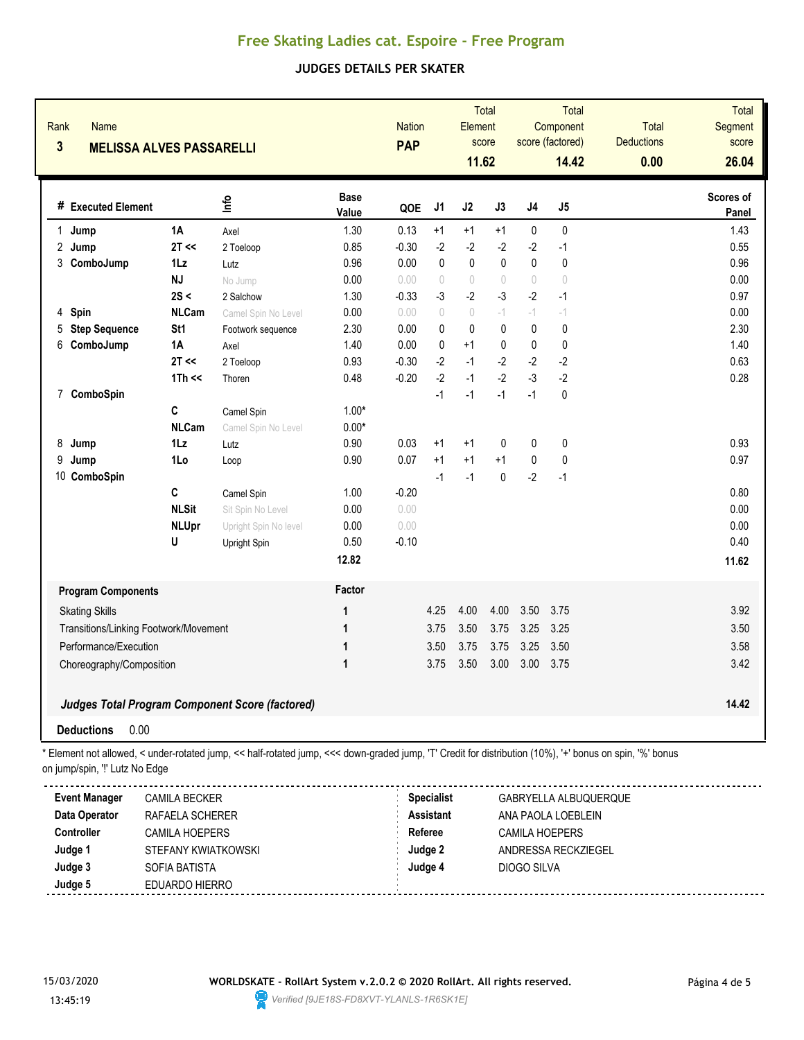# **Free Skating Ladies cat. Espoire - Free Program**

## **JUDGES DETAILS PER SKATER**

| Rank<br><b>Name</b><br>$\overline{\mathbf{3}}$<br><b>MELISSA ALVES PASSARELLI</b>                                                                                                          |                 |                       |                      | <b>Nation</b><br><b>PAP</b>           |                                  | <b>Element</b><br>11.62          | Total<br>score |                                             | <b>Total</b><br>Component<br>score (factored)<br>14.42 | <b>Total</b><br><b>Deductions</b><br>0.00 | <b>Total</b><br>Segment<br>score<br>26.04 |
|--------------------------------------------------------------------------------------------------------------------------------------------------------------------------------------------|-----------------|-----------------------|----------------------|---------------------------------------|----------------------------------|----------------------------------|----------------|---------------------------------------------|--------------------------------------------------------|-------------------------------------------|-------------------------------------------|
| # Executed Element                                                                                                                                                                         |                 | lnfo                  | <b>Base</b><br>Value | QOE                                   | J1                               | J2                               | J3             | J4                                          | J5                                                     |                                           | Scores of<br>Panel                        |
| Jump<br>1                                                                                                                                                                                  | <b>1A</b>       | Axel                  | 1.30                 | 0.13                                  | $+1$                             | $+1$                             | $+1$           | 0                                           | 0                                                      |                                           | 1.43                                      |
| 2<br>Jump                                                                                                                                                                                  | 2T <<           | 2 Toeloop             | 0.85                 | $-0.30$                               | $-2$                             | $-2$                             | $-2$           | $-2$                                        | -1                                                     |                                           | 0.55                                      |
| 3<br>ComboJump                                                                                                                                                                             | 1Lz             | Lutz                  | 0.96                 | 0.00                                  | $\mathbf{0}$                     | $\pmb{0}$                        | $\mathbf 0$    | 0                                           | $\pmb{0}$                                              |                                           | 0.96                                      |
|                                                                                                                                                                                            | <b>NJ</b>       | No Jump               | 0.00                 | 0.00                                  | $\begin{array}{c} \n\end{array}$ | $\begin{array}{c} \n\end{array}$ | $\sqrt{ }$     | $\begin{array}{c} \n\end{array}$            | $\bigcirc$                                             |                                           | 0.00                                      |
|                                                                                                                                                                                            | 2S <            | 2 Salchow             | 1.30                 | $-0.33$                               | $-3$                             | $-2$                             | $-3$           | $-2$                                        | $-1$                                                   |                                           | 0.97                                      |
| Spin<br>4                                                                                                                                                                                  | <b>NLCam</b>    | Camel Spin No Level   | 0.00                 | 0.00                                  | $\bigcap$                        | $\begin{array}{c} \n\end{array}$ | $-1$           | $-1$                                        | $-1$                                                   |                                           | 0.00                                      |
| <b>Step Sequence</b><br>5                                                                                                                                                                  | St <sub>1</sub> | Footwork sequence     | 2.30                 | 0.00                                  | $\mathbf{0}$                     | $\mathbf{0}$                     | $\mathbf 0$    | 0                                           | 0                                                      |                                           | 2.30                                      |
| 6<br>ComboJump                                                                                                                                                                             | 1A              | Axel                  | 1.40                 | 0.00                                  | $\mathbf 0$                      | $+1$                             | 0              | 0                                           | 0                                                      |                                           | 1.40                                      |
|                                                                                                                                                                                            | $2T \ll$        | 2 Toeloop             | 0.93                 | $-0.30$                               | $-2$                             | $-1$                             | $-2$           | $-2$                                        | $-2$                                                   |                                           | 0.63                                      |
|                                                                                                                                                                                            | $1Th \ll$       | Thoren                | 0.48                 | $-0.20$                               | $-2$                             | $-1$                             | $-2$           | $-3$                                        | $-2$                                                   |                                           | 0.28                                      |
| ComboSpin<br>7                                                                                                                                                                             |                 |                       |                      |                                       | $-1$                             | $-1$                             | $-1$           | $-1$                                        | $\pmb{0}$                                              |                                           |                                           |
|                                                                                                                                                                                            | C               | Camel Spin            | $1.00*$              |                                       |                                  |                                  |                |                                             |                                                        |                                           |                                           |
|                                                                                                                                                                                            | <b>NLCam</b>    | Camel Spin No Level   | $0.00*$              |                                       |                                  |                                  |                |                                             |                                                        |                                           |                                           |
| 8<br>Jump                                                                                                                                                                                  | $1\mathsf{L}z$  | Lutz                  | 0.90                 | 0.03                                  | $+1$                             | $+1$                             | $\mathbf 0$    | 0                                           | $\pmb{0}$                                              |                                           | 0.93                                      |
| 9<br>Jump                                                                                                                                                                                  | 1Lo             | Loop                  | 0.90                 | 0.07                                  | $+1$                             | $+1$                             | $+1$           | $\pmb{0}$                                   | $\pmb{0}$                                              |                                           | 0.97                                      |
| 10 ComboSpin                                                                                                                                                                               |                 |                       |                      |                                       | $-1$                             | $-1$                             | $\mathbf{0}$   | $-2$                                        | $-1$                                                   |                                           |                                           |
|                                                                                                                                                                                            | C               | Camel Spin            | 1.00                 | $-0.20$                               |                                  |                                  |                |                                             |                                                        |                                           | 0.80                                      |
|                                                                                                                                                                                            | <b>NLSit</b>    | Sit Spin No Level     | 0.00                 | 0.00                                  |                                  |                                  |                |                                             |                                                        |                                           | 0.00                                      |
|                                                                                                                                                                                            | <b>NLUpr</b>    | Upright Spin No level | 0.00                 | 0.00                                  |                                  |                                  |                |                                             |                                                        |                                           | 0.00                                      |
|                                                                                                                                                                                            | U               | Upright Spin          | 0.50                 | $-0.10$                               |                                  |                                  |                |                                             |                                                        |                                           | 0.40                                      |
|                                                                                                                                                                                            |                 |                       | 12.82                |                                       |                                  |                                  |                |                                             |                                                        |                                           | 11.62                                     |
| <b>Program Components</b>                                                                                                                                                                  |                 |                       | Factor               |                                       |                                  |                                  |                |                                             |                                                        |                                           |                                           |
| <b>Skating Skills</b>                                                                                                                                                                      |                 |                       | 1                    |                                       | 4.25                             | 4.00                             | 4.00           | 3.50                                        | 3.75                                                   |                                           | 3.92                                      |
| Transitions/Linking Footwork/Movement                                                                                                                                                      |                 |                       | 1                    |                                       | 3.75                             | 3.50                             | 3.75           | 3.25                                        | 3.25                                                   |                                           | 3.50                                      |
| Performance/Execution                                                                                                                                                                      |                 |                       | 1                    |                                       | 3.50                             | 3.75                             | 3.75           | 3.25                                        | 3.50                                                   |                                           | 3.58                                      |
| Choreography/Composition                                                                                                                                                                   |                 |                       | 1                    |                                       | 3.75                             | 3.50                             | 3.00           | 3.00                                        | 3.75                                                   |                                           | 3.42                                      |
| Judges Total Program Component Score (factored)                                                                                                                                            |                 |                       |                      |                                       |                                  |                                  | 14.42          |                                             |                                                        |                                           |                                           |
| 0.00<br><b>Deductions</b>                                                                                                                                                                  |                 |                       |                      |                                       |                                  |                                  |                |                                             |                                                        |                                           |                                           |
| * Element not allowed, < under-rotated jump, << half-rotated jump, <<< down-graded jump, 'T' Credit for distribution (10%), '+' bonus on spin, '%' bonus<br>on jump/spin, "!' Lutz No Edge |                 |                       |                      |                                       |                                  |                                  |                |                                             |                                                        |                                           |                                           |
| <b>Event Manager</b><br><b>CAMILA BECKER</b><br>Data Operator<br>RAFAELA SCHERER                                                                                                           |                 |                       |                      | <b>Specialist</b><br><b>Assistant</b> |                                  |                                  |                | GABRYELLA ALBUQUERQUE<br>ANA PAOLA LOEBLEIN |                                                        |                                           |                                           |

| Data Operator | RAFAELA SCHERER     | <b>Assistant</b> | ANA PAOLA LOEBLEIN    |  |
|---------------|---------------------|------------------|-----------------------|--|
| Controller    | CAMILA HOEPERS      | Referee          | <b>CAMILA HOEPERS</b> |  |
| Judge 1       | STEFANY KWIATKOWSKI | Judge 2          | ANDRESSA RECKZIEGEL   |  |
| Judge 3       | SOFIA BATISTA       | Judge 4          | DIOGO SILVA           |  |
| Judge 5       | EDUARDO HIERRO      |                  |                       |  |